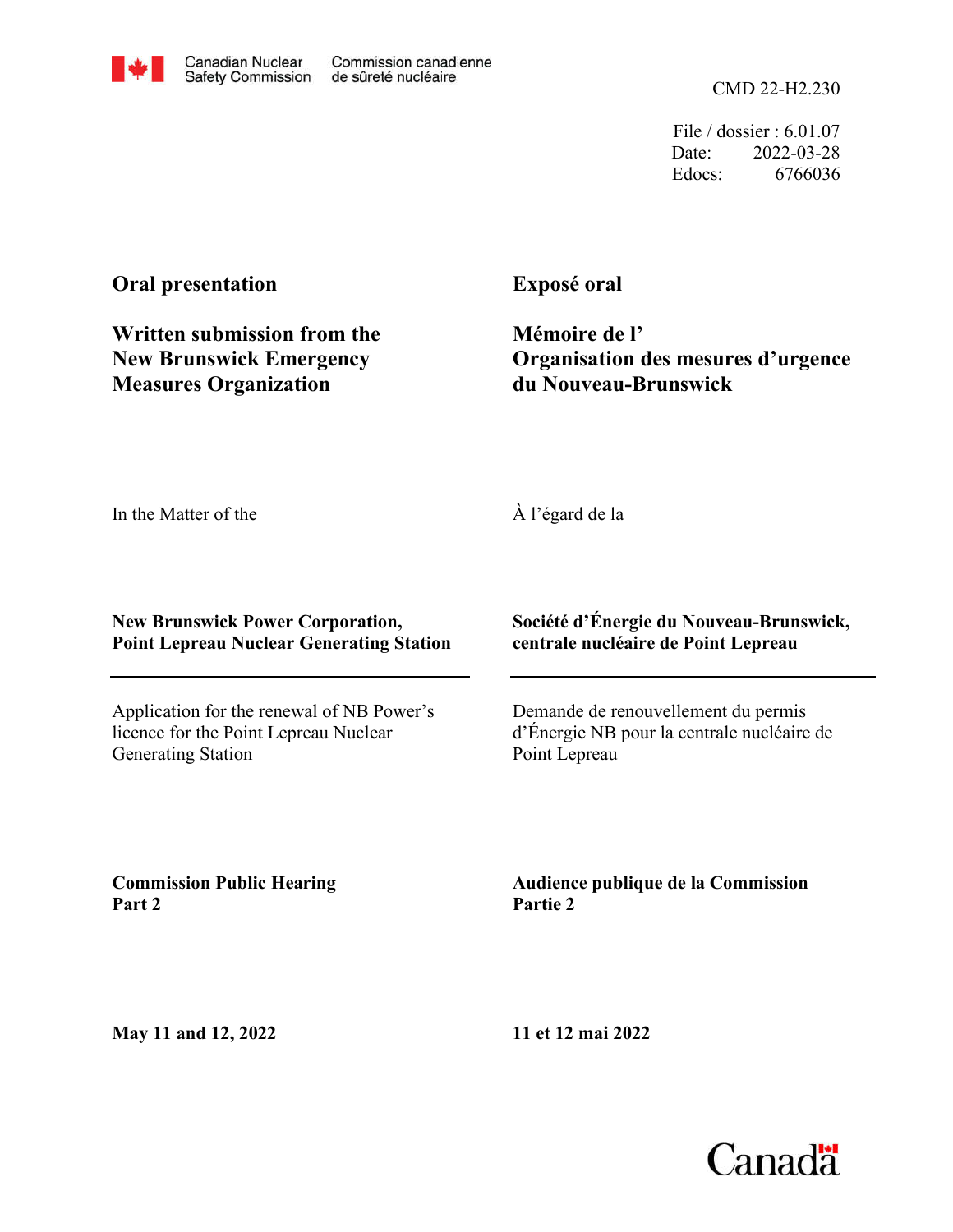CMD 22-H2.230

File / dossier : 6.01.07 Date: 2022-03-28 Edocs: 6766036

## **Oral presentation**

**Written submission from the New Brunswick Emergency Measures Organization**

**Exposé oral**

**Mémoire de l' Organisation des mesures d'urgence du Nouveau-Brunswick**

In the Matter of the

À l'égard de la

## **New Brunswick Power Corporation, Point Lepreau Nuclear Generating Station**

Application for the renewal of NB Power's licence for the Point Lepreau Nuclear Generating Station

**Société d'Énergie du Nouveau-Brunswick, centrale nucléaire de Point Lepreau**

Demande de renouvellement du permis d'Énergie NB pour la centrale nucléaire de Point Lepreau

**Commission Public Hearing Part 2**

**Audience publique de la Commission Partie 2**

**May 11 and 12, 2022**

**11 et 12 mai 2022**

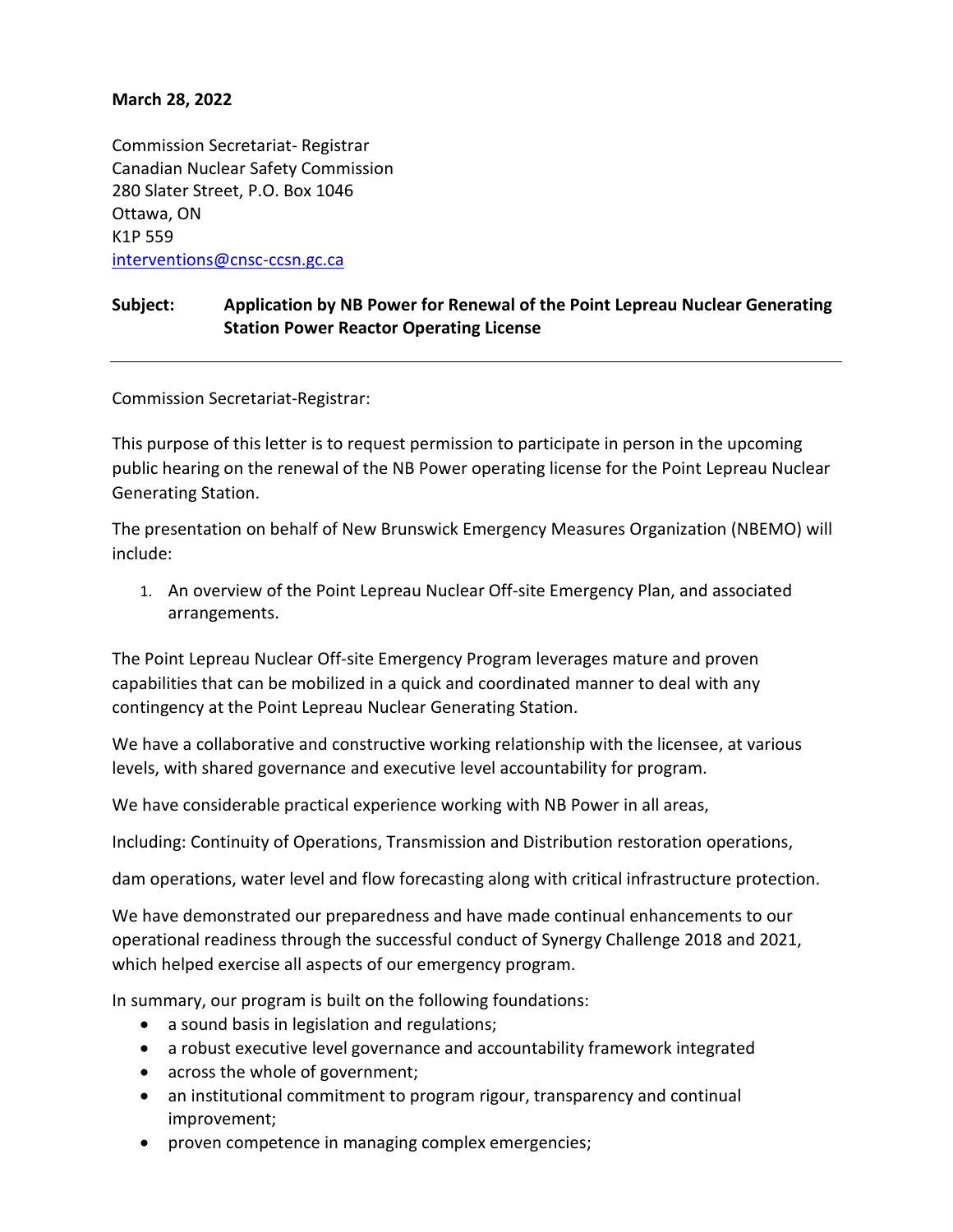## **March 28, 2022**

Commission Secretariat- Registrar Canadian Nuclear Safety Commission 280 Slater Street, P.O. Box 1046 Ottawa, ON K1P 559 [interventions@cnsc-ccsn.gc.ca](mailto:interventions@cnsc-ccsn.gc.ca)

## **Subject: Application by NB Power for Renewal of the Point Lepreau Nuclear Generating Station Power Reactor Operating License**

Commission Secretariat-Registrar:

This purpose of this letter is to request permission to participate in person in the upcoming public hearing on the renewal of the NB Power operating license for the Point Lepreau Nuclear Generating Station.

The presentation on behalf of New Brunswick Emergency Measures Organization (NBEMO) will include:

1. An overview of the Point Lepreau Nuclear Off-site Emergency Plan, and associated arrangements.

The Point Lepreau Nuclear Off-site Emergency Program leverages mature and proven capabilities that can be mobilized in a quick and coordinated manner to deal with any contingency at the Point Lepreau Nuclear Generating Station.

We have a collaborative and constructive working relationship with the licensee, at various levels, with shared governance and executive level accountability for program.

We have considerable practical experience working with NB Power in all areas,

Including: Continuity of Operations, Transmission and Distribution restoration operations,

dam operations, water level and flow forecasting along with critical infrastructure protection.

We have demonstrated our preparedness and have made continual enhancements to our operational readiness through the successful conduct of Synergy Challenge 2018 and 2021, which helped exercise all aspects of our emergency program.

In summary, our program is built on the following foundations:

- a sound basis in legislation and regulations;
- a robust executive level governance and accountability framework integrated
- across the whole of government;
- an institutional commitment to program rigour, transparency and continual improvement;
- proven competence in managing complex emergencies;